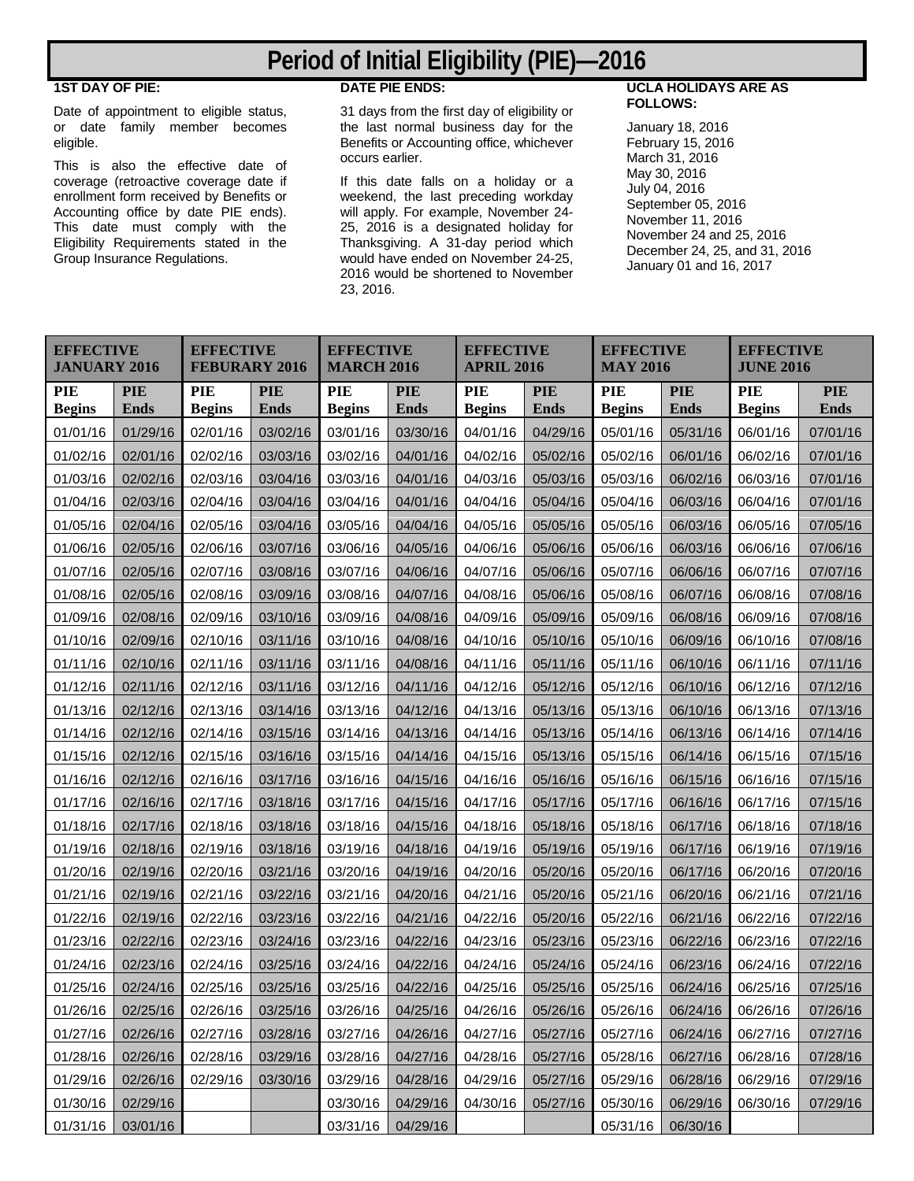# **Period of Initial Eligibility (PIE)—2016**

#### **1ST DAY OF PIE:**

Date of appointment to eligible status, or date family member becomes eligible.

This is also the effective date of coverage (retroactive coverage date if enrollment form received by Benefits or Accounting office by date PIE ends). This date must comply with the Eligibility Requirements stated in the Group Insurance Regulations.

## **DATE PIE ENDS:**

31 days from the first day of eligibility or the last normal business day for the Benefits or Accounting office, whichever occurs earlier.

If this date falls on a holiday or a weekend, the last preceding workday will apply. For example, November 24- 25, 2016 is a designated holiday for Thanksgiving. A 31-day period which would have ended on November 24-25, 2016 would be shortened to November 23, 2016.

### **UCLA HOLIDAYS ARE AS FOLLOWS:**

January 18, 2016 February 15, 2016 March 31, 2016 May 30, 2016 July 04, 2016 September 05, 2016 November 11, 2016 November 24 and 25, 2016 December 24, 25, and 31, 2016 January 01 and 16, 2017

| <b>EFFECTIVE</b><br><b>JANUARY 2016</b> |                    | <b>EFFECTIVE</b><br><b>FEBURARY 2016</b> |                           | <b>EFFECTIVE</b><br><b>MARCH 2016</b> |                           | <b>EFFECTIVE</b><br><b>APRIL 2016</b> |                    | <b>EFFECTIVE</b><br><b>MAY 2016</b> |                           | <b>EFFECTIVE</b><br><b>JUNE 2016</b> |                           |
|-----------------------------------------|--------------------|------------------------------------------|---------------------------|---------------------------------------|---------------------------|---------------------------------------|--------------------|-------------------------------------|---------------------------|--------------------------------------|---------------------------|
| PIE<br><b>Begins</b>                    | <b>PIE</b><br>Ends | PIE<br><b>Begins</b>                     | <b>PIE</b><br><b>Ends</b> | <b>PIE</b><br><b>Begins</b>           | <b>PIE</b><br><b>Ends</b> | PIE<br><b>Begins</b>                  | <b>PIE</b><br>Ends | PIE<br><b>Begins</b>                | <b>PIE</b><br><b>Ends</b> | PIE<br><b>Begins</b>                 | <b>PIE</b><br><b>Ends</b> |
| 01/01/16                                | 01/29/16           | 02/01/16                                 | 03/02/16                  | 03/01/16                              | 03/30/16                  | 04/01/16                              | 04/29/16           | 05/01/16                            | 05/31/16                  | 06/01/16                             | 07/01/16                  |
| 01/02/16                                | 02/01/16           | 02/02/16                                 | 03/03/16                  | 03/02/16                              | 04/01/16                  | 04/02/16                              | 05/02/16           | 05/02/16                            | 06/01/16                  | 06/02/16                             | 07/01/16                  |
| 01/03/16                                | 02/02/16           | 02/03/16                                 | 03/04/16                  | 03/03/16                              | 04/01/16                  | 04/03/16                              | 05/03/16           | 05/03/16                            | 06/02/16                  | 06/03/16                             | 07/01/16                  |
| 01/04/16                                | 02/03/16           | 02/04/16                                 | 03/04/16                  | 03/04/16                              | 04/01/16                  | 04/04/16                              | 05/04/16           | 05/04/16                            | 06/03/16                  | 06/04/16                             | 07/01/16                  |
| 01/05/16                                | 02/04/16           | 02/05/16                                 | 03/04/16                  | 03/05/16                              | 04/04/16                  | 04/05/16                              | 05/05/16           | 05/05/16                            | 06/03/16                  | 06/05/16                             | 07/05/16                  |
| 01/06/16                                | 02/05/16           | 02/06/16                                 | 03/07/16                  | 03/06/16                              | 04/05/16                  | 04/06/16                              | 05/06/16           | 05/06/16                            | 06/03/16                  | 06/06/16                             | 07/06/16                  |
| 01/07/16                                | 02/05/16           | 02/07/16                                 | 03/08/16                  | 03/07/16                              | 04/06/16                  | 04/07/16                              | 05/06/16           | 05/07/16                            | 06/06/16                  | 06/07/16                             | 07/07/16                  |
| 01/08/16                                | 02/05/16           | 02/08/16                                 | 03/09/16                  | 03/08/16                              | 04/07/16                  | 04/08/16                              | 05/06/16           | 05/08/16                            | 06/07/16                  | 06/08/16                             | 07/08/16                  |
| 01/09/16                                | 02/08/16           | 02/09/16                                 | 03/10/16                  | 03/09/16                              | 04/08/16                  | 04/09/16                              | 05/09/16           | 05/09/16                            | 06/08/16                  | 06/09/16                             | 07/08/16                  |
| 01/10/16                                | 02/09/16           | 02/10/16                                 | 03/11/16                  | 03/10/16                              | 04/08/16                  | 04/10/16                              | 05/10/16           | 05/10/16                            | 06/09/16                  | 06/10/16                             | 07/08/16                  |
| 01/11/16                                | 02/10/16           | 02/11/16                                 | 03/11/16                  | 03/11/16                              | 04/08/16                  | 04/11/16                              | 05/11/16           | 05/11/16                            | 06/10/16                  | 06/11/16                             | 07/11/16                  |
| 01/12/16                                | 02/11/16           | 02/12/16                                 | 03/11/16                  | 03/12/16                              | 04/11/16                  | 04/12/16                              | 05/12/16           | 05/12/16                            | 06/10/16                  | 06/12/16                             | 07/12/16                  |
| 01/13/16                                | 02/12/16           | 02/13/16                                 | 03/14/16                  | 03/13/16                              | 04/12/16                  | 04/13/16                              | 05/13/16           | 05/13/16                            | 06/10/16                  | 06/13/16                             | 07/13/16                  |
| 01/14/16                                | 02/12/16           | 02/14/16                                 | 03/15/16                  | 03/14/16                              | 04/13/16                  | 04/14/16                              | 05/13/16           | 05/14/16                            | 06/13/16                  | 06/14/16                             | 07/14/16                  |
| 01/15/16                                | 02/12/16           | 02/15/16                                 | 03/16/16                  | 03/15/16                              | 04/14/16                  | 04/15/16                              | 05/13/16           | 05/15/16                            | 06/14/16                  | 06/15/16                             | 07/15/16                  |
| 01/16/16                                | 02/12/16           | 02/16/16                                 | 03/17/16                  | 03/16/16                              | 04/15/16                  | 04/16/16                              | 05/16/16           | 05/16/16                            | 06/15/16                  | 06/16/16                             | 07/15/16                  |
| 01/17/16                                | 02/16/16           | 02/17/16                                 | 03/18/16                  | 03/17/16                              | 04/15/16                  | 04/17/16                              | 05/17/16           | 05/17/16                            | 06/16/16                  | 06/17/16                             | 07/15/16                  |
| 01/18/16                                | 02/17/16           | 02/18/16                                 | 03/18/16                  | 03/18/16                              | 04/15/16                  | 04/18/16                              | 05/18/16           | 05/18/16                            | 06/17/16                  | 06/18/16                             | 07/18/16                  |
| 01/19/16                                | 02/18/16           | 02/19/16                                 | 03/18/16                  | 03/19/16                              | 04/18/16                  | 04/19/16                              | 05/19/16           | 05/19/16                            | 06/17/16                  | 06/19/16                             | 07/19/16                  |
| 01/20/16                                | 02/19/16           | 02/20/16                                 | 03/21/16                  | 03/20/16                              | 04/19/16                  | 04/20/16                              | 05/20/16           | 05/20/16                            | 06/17/16                  | 06/20/16                             | 07/20/16                  |
| 01/21/16                                | 02/19/16           | 02/21/16                                 | 03/22/16                  | 03/21/16                              | 04/20/16                  | 04/21/16                              | 05/20/16           | 05/21/16                            | 06/20/16                  | 06/21/16                             | 07/21/16                  |
| 01/22/16                                | 02/19/16           | 02/22/16                                 | 03/23/16                  | 03/22/16                              | 04/21/16                  | 04/22/16                              | 05/20/16           | 05/22/16                            | 06/21/16                  | 06/22/16                             | 07/22/16                  |
| 01/23/16                                | 02/22/16           | 02/23/16                                 | 03/24/16                  | 03/23/16                              | 04/22/16                  | 04/23/16                              | 05/23/16           | 05/23/16                            | 06/22/16                  | 06/23/16                             | 07/22/16                  |
| 01/24/16                                | 02/23/16           | 02/24/16                                 | 03/25/16                  | 03/24/16                              | 04/22/16                  | 04/24/16                              | 05/24/16           | 05/24/16                            | 06/23/16                  | 06/24/16                             | 07/22/16                  |
| 01/25/16                                | 02/24/16           | 02/25/16                                 | 03/25/16                  | 03/25/16                              | 04/22/16                  | 04/25/16                              | 05/25/16           | 05/25/16                            | 06/24/16                  | 06/25/16                             | 07/25/16                  |
| 01/26/16                                | 02/25/16           | 02/26/16                                 | 03/25/16                  | 03/26/16                              | 04/25/16                  | 04/26/16                              | 05/26/16           | 05/26/16                            | 06/24/16                  | 06/26/16                             | 07/26/16                  |
| 01/27/16                                | 02/26/16           | 02/27/16                                 | 03/28/16                  | 03/27/16                              | 04/26/16                  | 04/27/16                              | 05/27/16           | 05/27/16                            | 06/24/16                  | 06/27/16                             | 07/27/16                  |
| 01/28/16                                | 02/26/16           | 02/28/16                                 | 03/29/16                  | 03/28/16                              | 04/27/16                  | 04/28/16                              | 05/27/16           | 05/28/16                            | 06/27/16                  | 06/28/16                             | 07/28/16                  |
| 01/29/16                                | 02/26/16           | 02/29/16                                 | 03/30/16                  | 03/29/16                              | 04/28/16                  | 04/29/16                              | 05/27/16           | 05/29/16                            | 06/28/16                  | 06/29/16                             | 07/29/16                  |
| 01/30/16                                | 02/29/16           |                                          |                           | 03/30/16                              | 04/29/16                  | 04/30/16                              | 05/27/16           | 05/30/16                            | 06/29/16                  | 06/30/16                             | 07/29/16                  |
| 01/31/16                                | 03/01/16           |                                          |                           | 03/31/16                              | 04/29/16                  |                                       |                    | 05/31/16                            | 06/30/16                  |                                      |                           |